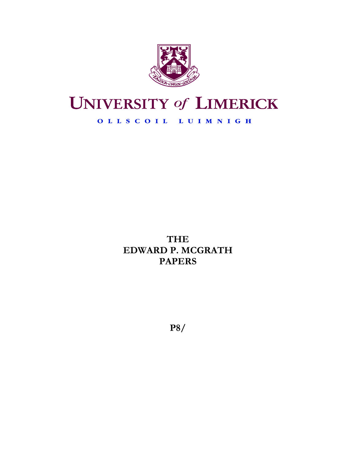

# **UNIVERSITY of LIMERICK**

# OLLSCOIL LUIMNIGH

**THE EDWARD P. MCGRATH PAPERS** 

**P8/**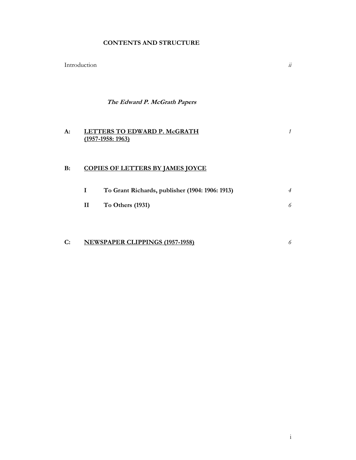## **CONTENTS AND STRUCTURE**

Introduction *ii*

**The Edward P. McGrath Papers** 

#### **A: LETTERS TO EDWARD P. McGRATH (1957-1958: 1963)** *1*

# **B: COPIES OF LETTERS BY JAMES JOYCE**

| To Grant Richards, publisher (1904: 1906: 1913) |  |
|-------------------------------------------------|--|
| To Others $(1931)$                              |  |

# **C: NEWSPAPER CLIPPINGS (1957-1958)** *6*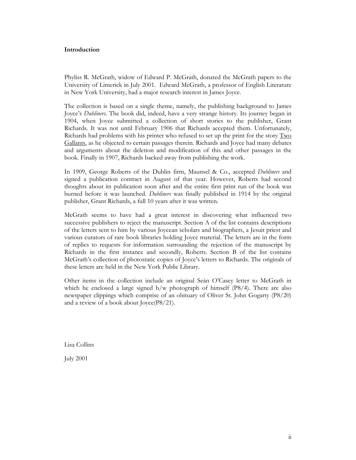## **Introduction**

Phyliss R. McGrath, widow of Edward P. McGrath, donated the McGrath papers to the University of Limerick in July 2001. Edward McGrath, a professor of English Literature in New York University, had a major research interest in James Joyce.

The collection is based on a single theme, namely, the publishing background to James Joyce's *Dubliners*. The book did, indeed, have a very strange history. Its journey began in 1904, when Joyce submitted a collection of short stories to the publisher, Grant Richards. It was not until February 1906 that Richards accepted them. Unfortunately, Richards had problems with his printer who refused to set up the print for the story  $T_{\text{WO}}$ Gallants, as he objected to certain passages therein. Richards and Joyce had many debates and arguments about the deletion and modification of this and other passages in the book. Finally in 1907, Richards backed away from publishing the work.

In 1909, George Roberts of the Dublin firm, Maunsel & Co., accepted *Dubliners* and signed a publication contract in August of that year. However, Roberts had second thoughts about its publication soon after and the entire first print run of the book was burned before it was launched. *Dubliners* was finally published in 1914 by the original publisher, Grant Richards, a full 10 years after it was written.

McGrath seems to have had a great interest in discovering what influenced two successive publishers to reject the manuscript. Section A of the list contains descriptions of the letters sent to him by various Joycean scholars and biographers, a Jesuit priest and various curators of rare book libraries holding Joyce material. The letters are in the form of replies to requests for information surrounding the rejection of the manuscript by Richards in the first instance and secondly, Roberts. Section B of the list contains McGrath's collection of photostatic copies of Joyce's letters to Richards. The originals of these letters are held in the New York Public Library.

Other items in the collection include an original Seán O'Casey letter to McGrath in which he enclosed a large signed b/w photograph of himself (P8/4). There are also newspaper clippings which comprise of an obituary of Oliver St. John Gogarty (P8/20) and a review of a book about Joyce(P8/21).

Lisa Collins

July 2001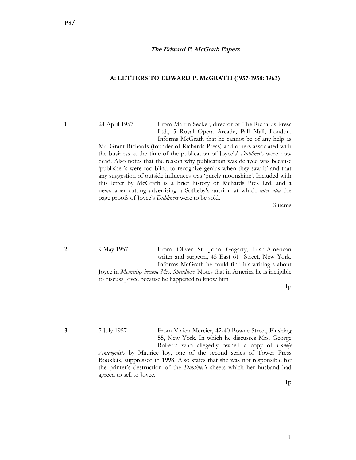## **The Edward P. McGrath Papers**

#### **A: LETTERS TO EDWARD P. McGRATH (1957-1958: 1963)**

**1** 24 April 1957 From Martin Secker, director of The Richards Press Ltd., 5 Royal Opera Arcade, Pall Mall, London. Informs McGrath that he cannot be of any help as

> Mr. Grant Richards (founder of Richards Press) and others associated with the business at the time of the publication of Joyce's' *Dubliner's* were now dead. Also notes that the reason why publication was delayed was because 'publisher's were too blind to recognize genius when they saw it' and that any suggestion of outside influences was 'purely moonshine'. Included with this letter by McGrath is a brief history of Richards Pres Ltd. and a newspaper cutting advertising a Sotheby's auction at which *inter alia* the page proofs of Joyce's *Dubliners* were to be sold.

> > 3 items

**2** 9 May 1957 From Oliver St. John Gogarty, Irish-American writer and surgeon, 45 East 61<sup>st</sup> Street, New York. Informs McGrath he could find his writing s about Joyce in *Mourning became Mrs. Spendlove.* Notes that in America he is ineligible to discuss Joyce because he happened to know him

 $1<sub>p</sub>$ 

**3** 7 July 1957 From Vivien Mercier, 42-40 Bowne Street, Flushing 55, New York. In which he discusses Mrs. George Roberts who allegedly owned a copy of *Lonely* 

> *Antagonists* by Maurice Joy, one of the second series of Tower Press Booklets, suppressed in 1998. Also states that she was not responsible for the printer's destruction of the *Dubliner's* sheets which her husband had agreed to sell to Joyce.

> > $1<sub>p</sub>$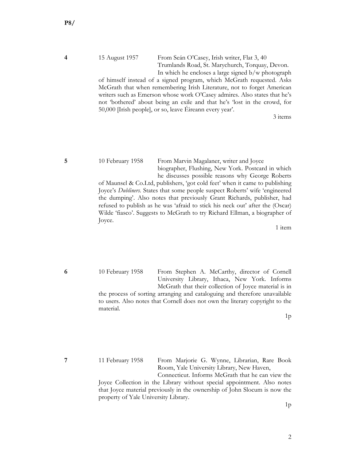## **4** 15 August 1957 From Seán O'Casey, Irish writer, Flat 3, 40 Trumlands Road, St. Marychurch, Torquay, Devon. In which he encloses a large signed b/w photograph

of himself instead of a signed program, which McGrath requested. Asks McGrath that when remembering Irish Literature, not to forget American writers such as Emerson whose work O'Casey admires. Also states that he's not 'bothered' about being an exile and that he's 'lost in the crowd, for 50,000 [Irish people], or so, leave Éireann every year'.

3 items

# **5** 10 February 1958 From Marvin Magalaner, writer and Joyce biographer, Flushing, New York. Postcard in which he discusses possible reasons why George Roberts

of Maunsel & Co.Ltd, publishers, 'got cold feet' when it came to publishing Joyce's *Dubliners.* States that some people suspect Roberts' wife 'engineered the dumping'. Also notes that previously Grant Richards, publisher, had refused to publish as he was 'afraid to stick his neck out' after the (Oscar) Wilde 'fiasco'. Suggests to McGrath to try Richard Ellman, a biographer of Joyce.

1 item

**6** 10 February 1958 From Stephen A. McCarthy, director of Cornell University Library, Ithaca, New York. Informs McGrath that their collection of Joyce material is in the process of sorting arranging and cataloguing and therefore unavailable to users. Also notes that Cornell does not own the literary copyright to the material.

1p

**7** 11 February 1958 From Marjorie G. Wynne, Librarian, Rare Book Room, Yale University Library, New Haven,

 Connecticut. Informs McGrath that he can view the Joyce Collection in the Library without special appointment. Also notes that Joyce material previously in the ownership of John Slocum is now the property of Yale University Library.

1p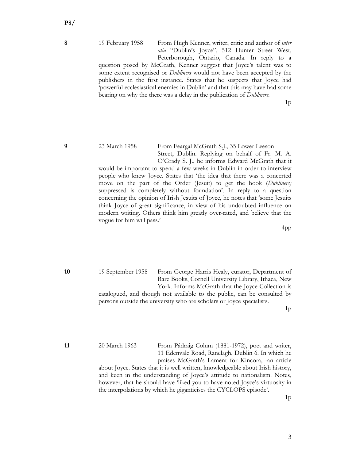**8** 19 February 1958 From Hugh Kenner, writer, critic and author of *inter alia* "Dublin's Joyce", 512 Hunter Street West, Peterborough, Ontario, Canada. In reply to a

> question posed by McGrath, Kenner suggest that Joyce's talent was to some extent recognised or *Dubliners* would not have been accepted by the publishers in the first instance. States that he suspects that Joyce had 'powerful ecclesiastical enemies in Dublin' and that this may have had some bearing on why the there was a delay in the publication of *Dubliners.*

> > $1<sub>p</sub>$

**9** 23 March 1958 From Feargal McGrath S.J., 35 Lower Leeson Street, Dublin. Replying on behalf of Fr. M. A. O'Grady S. J., he informs Edward McGrath that it

> would be important to spend a few weeks in Dublin in order to interview people who knew Joyce. States that 'the idea that there was a concerted move on the part of the Order (Jesuit) to get the book (*Dubliners)* suppressed is completely without foundation'. In reply to a question concerning the opinion of Irish Jesuits of Joyce, he notes that 'some Jesuits think Joyce of great significance, in view of his undoubted influence on modern writing. Others think him greatly over-rated, and believe that the vogue for him will pass.'

> > 4pp

**10** 19 September 1958 From George Harris Healy, curator, Department of Rare Books, Cornell University Library, Ithaca, New York. Informs McGrath that the Joyce Collection is catalogued, and though not available to the public, can be consulted by persons outside the university who are scholars or Joyce specialists.

 $1<sub>p</sub>$ 

**11** 20 March 1963 From Pádraig Colum (1881-1972), poet and writer, 11 Edenvale Road, Ranelagh, Dublin 6. In which he praises McGrath's Lament for Kincora, -an article

about Joyce. States that it is well written, knowledgeable about Irish history, and keen in the understanding of Joyce's attitude to nationalism. Notes, however, that he should have 'liked you to have noted Joyce's virtuosity in the interpolations by which he giganticises the CYCLOPS episode'.

 $1<sub>p</sub>$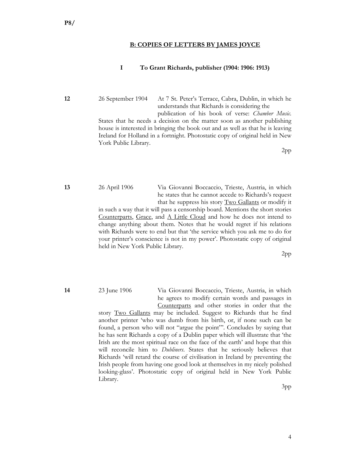### **B: COPIES OF LETTERS BY JAMES JOYCE**

## **I To Grant Richards, publisher (1904: 1906: 1913)**

**12** 26 September 1904 At 7 St. Peter's Terrace, Cabra, Dublin, in which he understands that Richards is considering the

> publication of his book of verse: *Chamber Music*. States that he needs a decision on the matter soon as another publishing house is interested in bringing the book out and as well as that he is leaving Ireland for Holland in a fortnight. Photostatic copy of original held in New York Public Library.

> > 2pp

**13** 26 April 1906 Via Giovanni Boccaccio, Trieste, Austria, in which he states that he cannot accede to Richards's request that he suppress his story Two Gallants or modify it

> in such a way that it will pass a censorship board. Mentions the short stories Counterparts, Grace, and A Little Cloud and how he does not intend to change anything about them. Notes that he would regret if his relations with Richards were to end but that 'the service which you ask me to do for your printer's conscience is not in my power'. Photostatic copy of original held in New York Public Library.

> > 2pp

**14** 23 June 1906 Via Giovanni Boccaccio, Trieste, Austria, in which he agrees to modify certain words and passages in Counterparts and other stories in order that the story Two Gallants may be included. Suggest to Richards that he find another printer 'who was dumb from his birth, or, if none such can be found, a person who will not "argue the point"'. Concludes by saying that he has sent Richards a copy of a Dublin paper which will illustrate that 'the Irish are the most spiritual race on the face of the earth' and hope that this will reconcile him to *Dubliners*. States that he seriously believes that Richards 'will retard the course of civilisation in Ireland by preventing the Irish people from having one good look at themselves in my nicely polished looking-glass'. Photostatic copy of original held in New York Public Library.

3pp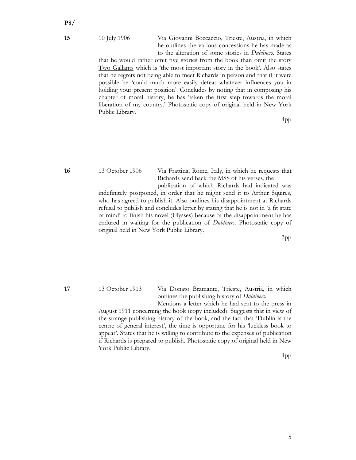## **15** 10 July 1906 Via Giovanni Boccaccio, Trieste, Austria, in which he outlines the various concessions he has made as to the alteration of some stories in *Dubliners.* States

that he would rather omit five stories from the book than omit the story Two Gallants which is 'the most important story in the book'. Also states that he regrets not being able to meet Richards in person and that if it were possible he 'could much more easily defeat whatever influences you in holding your present position'. Concludes by noting that in composing his chapter of moral history, he has 'taken the first step towards the moral liberation of my country.' Photostatic copy of original held in New York Public Library.

4pp

**16** 13 October 1906 Via Frattina, Rome, Italy, in which he requests that Richards send back the MSS of his verses, the

 publication of which Richards had indicated was indefinitely postponed, in order that he might send it to Arthur Squires, who has agreed to publish it. Also outlines his disappointment at Richards refusal to publish and concludes letter by stating that he is not in 'a fit state of mind' to finish his novel (Ulysses) because of the disappointment he has endured in waiting for the publication of *Dubliners.* Photostatic copy of original held in New York Public Library.

3pp

**17** 13 October 1913 Via Donato Bramante, Trieste, Austria, in which outlines the publishing history of *Dubliners.* 

Mentions a letter which he had sent to the press in August 1911 concerning the book (copy included). Suggests that in view of the strange publishing history of the book, and the fact that 'Dublin is the centre of general interest', the time is opportune for his 'luckless book to appear'. States that he is willing to contribute to the expenses of publication if Richards is prepared to publish. Photostatic copy of original held in New York Public Library.

4pp